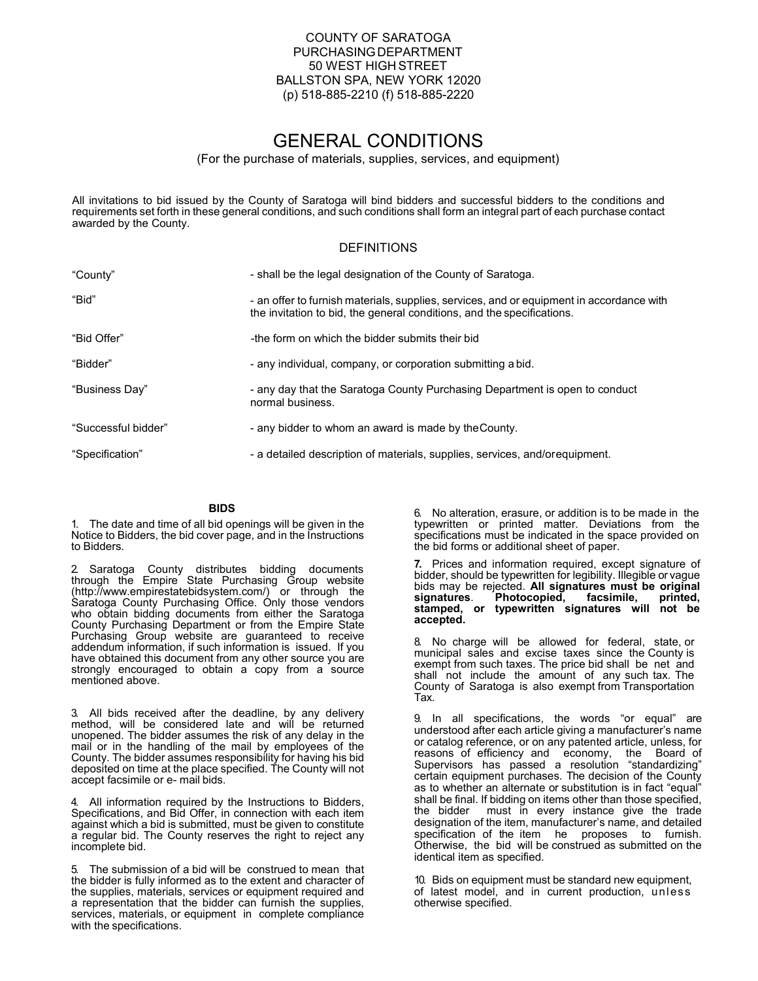# COUNTY OF SARATOGA PURCHASINGDEPARTMENT 50 WEST HIGH STREET BALLSTON SPA, NEW YORK 12020 (p) 518-885-2210 (f) 518-885-2220

# GENERAL CONDITIONS

(For the purchase of materials, supplies, services, and equipment)

All invitations to bid issued by the County of Saratoga will bind bidders and successful bidders to the conditions and requirements set forth in these general conditions, and such conditions shall form an integral part of each purchase contact awarded by the County.

# DEFINITIONS

| "County"            | - shall be the legal designation of the County of Saratoga.                                                                                                        |
|---------------------|--------------------------------------------------------------------------------------------------------------------------------------------------------------------|
| "Bid"               | - an offer to furnish materials, supplies, services, and or equipment in accordance with<br>the invitation to bid, the general conditions, and the specifications. |
| "Bid Offer"         | -the form on which the bidder submits their bid                                                                                                                    |
| "Bidder"            | - any individual, company, or corporation submitting a bid.                                                                                                        |
| "Business Day"      | - any day that the Saratoga County Purchasing Department is open to conduct<br>normal business.                                                                    |
| "Successful bidder" | - any bidder to whom an award is made by the County.                                                                                                               |
| "Specification"     | - a detailed description of materials, supplies, services, and/oreguipment.                                                                                        |

## **BIDS**

1. The date and time of all bid openings will be given in the Notice to Bidders, the bid cover page, and in the Instructions to Bidders.

2. Saratoga County distributes bidding documents through the Empire State Purchasing Group website [\(http://www.empirestatebidsystem.com/\)](http://www.empirestatebidsystem.com/)) or through the Saratoga County Purchasing Office. Only those vendors who obtain bidding documents from either the Saratoga County Purchasing Department or from the Empire State Purchasing Group website are guaranteed to receive addendum information, if such information is issued. If you have obtained this document from any other source you are strongly encouraged to obtain a copy from a source mentioned above.

3. All bids received after the deadline, by any delivery method, will be considered late and will be returned unopened. The bidder assumes the risk of any delay in the mail or in the handling of the mail by employees of the County. The bidder assumes responsibility for having his bid deposited on time at the place specified. The County will not accept facsimile or e- mail bids.

4. All information required by the Instructions to Bidders, Specifications, and Bid Offer, in connection with each item against which a bid is submitted, must be given to constitute a regular bid. The County reserves the right to reject any incomplete bid.

5. The submission of a bid will be construed to mean that the bidder is fully informed as to the extent and character of the supplies, materials, services or equipment required and a representation that the bidder can furnish the supplies, services, materials, or equipment in complete compliance with the specifications.

6. No alteration, erasure, or addition is to be made in the typewritten or printed matter. Deviations from the specifications must be indicated in the space provided on the bid forms or additional sheet of paper.

**7.** Prices and information required, except signature of bidder, should be typewritten for legibility. Illegible or vague bids may be rejected. **All signatures must be original signatures**. **Photocopied, facsimile, printed, stamped, or typewritten signatures will not be accepted.**

8. No charge will be allowed for federal, state, or municipal sales and excise taxes since the County is exempt from such taxes. The price bid shall be net and shall not include the amount of any such tax. The County of Saratoga is also exempt from Transportation Tax.

9. In all specifications, the words "or equal" are understood after each article giving a manufacturer's name or catalog reference, or on any patented article, unless, for reasons of efficiency and economy, the Board of Supervisors has passed a resolution "standardizing" certain equipment purchases. The decision of the County as to whether an alternate or substitution is in fact "equal" shall be final. If bidding on items other than those specified,<br>the bidder must in every instance give the trade must in every instance give the trade designation of the item, manufacturer's name, and detailed<br>specification of the item he proposes to furnish. specification of the item he proposes Otherwise, the bid will be construed as submitted on the identical item as specified.

10. Bids on equipment must be standard new equipment, of latest model, and in current production, unless otherwise specified.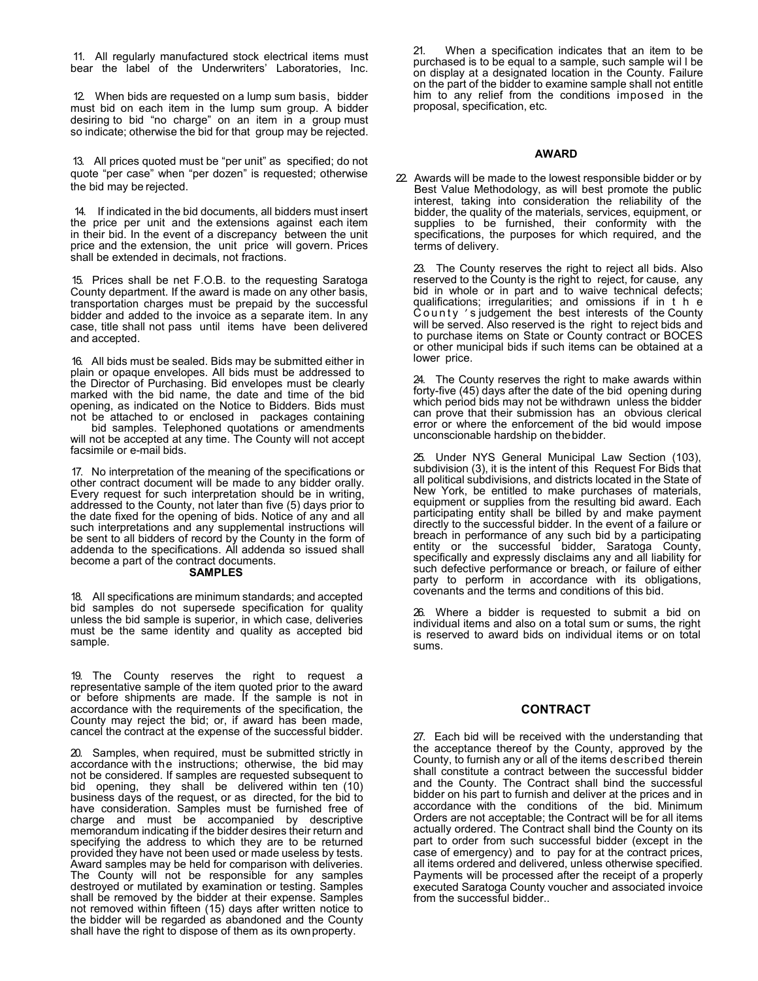11. All regularly manufactured stock electrical items must bear the label of the Underwriters' Laboratories, Inc.

12. When bids are requested on a lump sum basis, bidder must bid on each item in the lump sum group. A bidder desiring to bid "no charge" on an item in a group must so indicate; otherwise the bid for that group may be rejected.

13. All prices quoted must be "per unit" as specified; do not quote "per case" when "per dozen" is requested; otherwise the bid may be rejected.

14. If indicated in the bid documents, all bidders must insert the price per unit and the extensions against each item in their bid. In the event of a discrepancy between the unit price and the extension, the unit price will govern. Prices shall be extended in decimals, not fractions.

15. Prices shall be net F.O.B. to the requesting Saratoga County department. If the award is made on any other basis, transportation charges must be prepaid by the successful bidder and added to the invoice as a separate item. In any case, title shall not pass until items have been delivered and accepted.

16. All bids must be sealed. Bids may be submitted either in plain or opaque envelopes. All bids must be addressed to the Director of Purchasing. Bid envelopes must be clearly marked with the bid name, the date and time of the bid opening, as indicated on the Notice to Bidders. Bids must not be attached to or enclosed in packages containing

bid samples. Telephoned quotations or amendments will not be accepted at any time. The County will not accept facsimile or e-mail bids.

17. No interpretation of the meaning of the specifications or other contract document will be made to any bidder orally. Every request for such interpretation should be in writing. addressed to the County, not later than five (5) days prior to the date fixed for the opening of bids. Notice of any and all such interpretations and any supplemental instructions will be sent to all bidders of record by the County in the form of addenda to the specifications. All addenda so issued shall become a part of the contract documents.

#### **SAMPLES**

18. All specifications are minimum standards; and accepted bid samples do not supersede specification for quality unless the bid sample is superior, in which case, deliveries must be the same identity and quality as accepted bid sample.

19. The County reserves the right to request a representative sample of the item quoted prior to the award or before shipments are made. If the sample is not in accordance with the requirements of the specification, the County may reject the bid; or, if award has been made, cancel the contract at the expense of the successful bidder.

20. Samples, when required, must be submitted strictly in accordance with the instructions; otherwise, the bid may not be considered. If samples are requested subsequent to bid opening, they shall be delivered within ten (10) business days of the request, or as directed, for the bid to have consideration. Samples must be furnished free of charge and must be accompanied by descriptive memorandum indicating if the bidder desires their return and specifying the address to which they are to be returned provided they have not been used or made useless by tests. Award samples may be held for comparison with deliveries. The County will not be responsible for any samples destroyed or mutilated by examination or testing. Samples shall be removed by the bidder at their expense. Samples not removed within fifteen (15) days after written notice to the bidder will be regarded as abandoned and the County shall have the right to dispose of them as its ownproperty.

21. When a specification indicates that an item to be purchased is to be equal to a sample, such sample wil l be on display at a designated location in the County. Failure on the part of the bidder to examine sample shall not entitle him to any relief from the conditions imposed in the proposal, specification, etc.

#### **AWARD**

22. Awards will be made to the lowest responsible bidder or by Best Value Methodology, as will best promote the public interest, taking into consideration the reliability of the bidder, the quality of the materials, services, equipment, or supplies to be furnished, their conformity with the specifications, the purposes for which required, and the terms of delivery.

23. The County reserves the right to reject all bids. Also reserved to the County is the right to reject, for cause, any bid in whole or in part and to waive technical defects; qualifications; irregularities; and omissions if in t h e County ' s judgement the best interests of the County will be served. Also reserved is the right to reject bids and to purchase items on State or County contract or BOCES or other municipal bids if such items can be obtained at a lower price.

24. The County reserves the right to make awards within forty-five (45) days after the date of the bid opening during which period bids may not be withdrawn unless the bidder can prove that their submission has an obvious clerical error or where the enforcement of the bid would impose unconscionable hardship on thebidder.

25. Under NYS General Municipal Law Section (103), subdivision (3), it is the intent of this Request For Bids that all political subdivisions, and districts located in the State of New York, be entitled to make purchases of materials, equipment or supplies from the resulting bid award. Each participating entity shall be billed by and make payment directly to the successful bidder. In the event of a failure or breach in performance of any such bid by a participating entity or the successful bidder, Saratoga County, specifically and expressly disclaims any and all liability for such defective performance or breach, or failure of either party to perform in accordance with its obligations, covenants and the terms and conditions of this bid.

26. Where a bidder is requested to submit a bid on individual items and also on a total sum or sums, the right is reserved to award bids on individual items or on total sums.

## **CONTRACT**

27. Each bid will be received with the understanding that the acceptance thereof by the County, approved by the County, to furnish any or all of the items described therein shall constitute a contract between the successful bidder and the County. The Contract shall bind the successful bidder on his part to furnish and deliver at the prices and in accordance with the conditions of the bid. Minimum Orders are not acceptable; the Contract will be for all items actually ordered. The Contract shall bind the County on its part to order from such successful bidder (except in the case of emergency) and to pay for at the contract prices, all items ordered and delivered, unless otherwise specified. Payments will be processed after the receipt of a properly executed Saratoga County voucher and associated invoice from the successful bidder..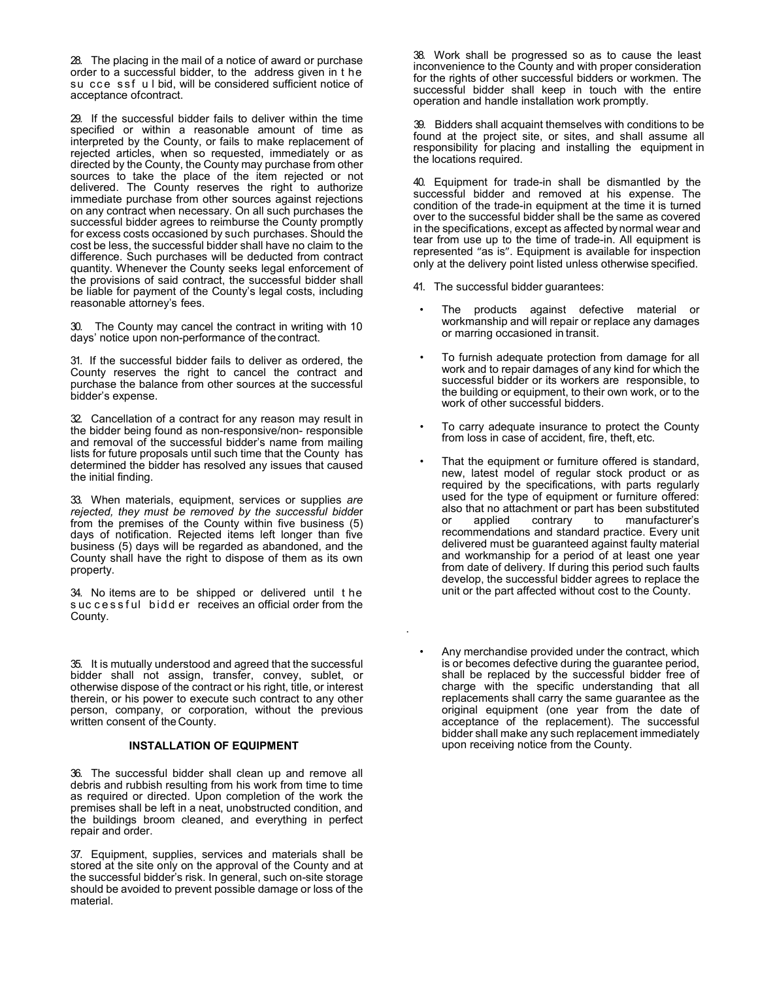28. The placing in the mail of a notice of award or purchase order to a successful bidder, to the address given in t he su cce ssf u l bid, will be considered sufficient notice of acceptance ofcontract.

29. If the successful bidder fails to deliver within the time specified or within a reasonable amount of time as interpreted by the County, or fails to make replacement of rejected articles, when so requested, immediately or as directed by the County, the County may purchase from other sources to take the place of the item rejected or not delivered. The County reserves the right to authorize immediate purchase from other sources against rejections on any contract when necessary. On all such purchases the successful bidder agrees to reimburse the County promptly for excess costs occasioned by such purchases. Should the cost be less, the successful bidder shall have no claim to the difference. Such purchases will be deducted from contract quantity. Whenever the County seeks legal enforcement of the provisions of said contract, the successful bidder shall be liable for payment of the County's legal costs, including reasonable attorney's fees.

30. The County may cancel the contract in writing with 10 days' notice upon non-performance of thecontract.

31. If the successful bidder fails to deliver as ordered, the County reserves the right to cancel the contract and purchase the balance from other sources at the successful bidder's expense.

32. Cancellation of a contract for any reason may result in the bidder being found as non-responsive/non- responsible and removal of the successful bidder's name from mailing lists for future proposals until such time that the County has determined the bidder has resolved any issues that caused the initial finding.

33. When materials, equipment, services or supplies *are rejected, they must be removed by the successful bidde*r from the premises of the County within five business (5) days of notification. Rejected items left longer than five business (5) days will be regarded as abandoned, and the County shall have the right to dispose of them as its own property.

34. No items are to be shipped or delivered until t he suc cessful bidd er receives an official order from the County.

35. It is mutually understood and agreed that the successful bidder shall not assign, transfer, convey, sublet, or otherwise dispose of the contract or his right, title, or interest therein, or his power to execute such contract to any other person, company, or corporation, without the previous written consent of theCounty.

#### **INSTALLATION OF EQUIPMENT**

36. The successful bidder shall clean up and remove all debris and rubbish resulting from his work from time to time as required or directed. Upon completion of the work the premises shall be left in a neat, unobstructed condition, and the buildings broom cleaned, and everything in perfect repair and order.

37. Equipment, supplies, services and materials shall be stored at the site only on the approval of the County and at the successful bidder's risk. In general, such on-site storage should be avoided to prevent possible damage or loss of the material.

38. Work shall be progressed so as to cause the least inconvenience to the County and with proper consideration for the rights of other successful bidders or workmen. The successful bidder shall keep in touch with the entire operation and handle installation work promptly.

39. Bidders shall acquaint themselves with conditions to be found at the project site, or sites, and shall assume all responsibility for placing and installing the equipment in the locations required.

40. Equipment for trade-in shall be dismantled by the successful bidder and removed at his expense. The condition of the trade-in equipment at the time it is turned over to the successful bidder shall be the same as covered in the specifications, except as affected by normal wear and tear from use up to the time of trade-in. All equipment is represented "as is". Equipment is available for inspection only at the delivery point listed unless otherwise specified.

41. The successful bidder guarantees:

.

- The products against defective material or workmanship and will repair or replace any damages or marring occasioned in transit.
- To furnish adequate protection from damage for all work and to repair damages of any kind for which the successful bidder or its workers are responsible, to the building or equipment, to their own work, or to the work of other successful bidders.
- To carry adequate insurance to protect the County from loss in case of accident, fire, theft, etc.
- That the equipment or furniture offered is standard, new, latest model of regular stock product or as required by the specifications, with parts regularly used for the type of equipment or furniture offered: also that no attachment or part has been substituted or applied contrary to manufacturer's recommendations and standard practice. Every unit delivered must be guaranteed against faulty material and workmanship for a period of at least one year from date of delivery. If during this period such faults develop, the successful bidder agrees to replace the unit or the part affected without cost to the County.

• Any merchandise provided under the contract, which is or becomes defective during the guarantee period, shall be replaced by the successful bidder free of charge with the specific understanding that all replacements shall carry the same guarantee as the original equipment (one year from the date of acceptance of the replacement). The successful bidder shall make any such replacement immediately upon receiving notice from the County.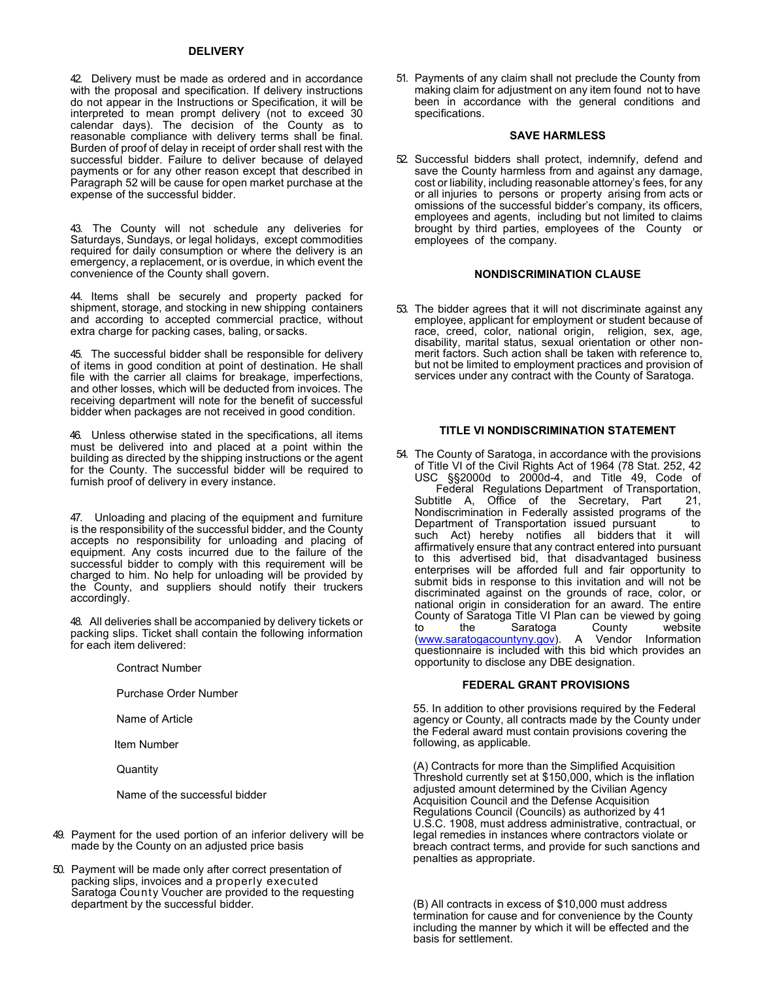#### **DELIVERY**

42. Delivery must be made as ordered and in accordance with the proposal and specification. If delivery instructions do not appear in the Instructions or Specification, it will be interpreted to mean prompt delivery (not to exceed 30 calendar days). The decision of the County as to reasonable compliance with delivery terms shall be final. Burden of proof of delay in receipt of order shall rest with the successful bidder. Failure to deliver because of delayed payments or for any other reason except that described in Paragraph 52 will be cause for open market purchase at the expense of the successful bidder.

43. The County will not schedule any deliveries for Saturdays, Sundays, or legal holidays, except commodities required for daily consumption or where the delivery is an emergency, a replacement, or is overdue, in which event the convenience of the County shall govern.

44. Items shall be securely and property packed for shipment, storage, and stocking in new shipping containers and according to accepted commercial practice, without extra charge for packing cases, baling, or sacks.

45. The successful bidder shall be responsible for delivery of items in good condition at point of destination. He shall file with the carrier all claims for breakage, imperfections, and other losses, which will be deducted from invoices. The receiving department will note for the benefit of successful bidder when packages are not received in good condition.

46. Unless otherwise stated in the specifications, all items must be delivered into and placed at a point within the building as directed by the shipping instructions or the agent for the County. The successful bidder will be required to furnish proof of delivery in every instance.

47. Unloading and placing of the equipment and furniture is the responsibility of the successful bidder, and the County accepts no responsibility for unloading and placing of equipment. Any costs incurred due to the failure of the successful bidder to comply with this requirement will be charged to him. No help for unloading will be provided by the County, and suppliers should notify their truckers accordingly.

48. All deliveries shall be accompanied by delivery tickets or packing slips. Ticket shall contain the following information for each item delivered:

- Contract Number
- Purchase Order Number
- Name of Article
- Item Number
- **Quantity**
- Name of the successful bidder
- 49. Payment for the used portion of an inferior delivery will be made by the County on an adjusted price basis
- 50. Payment will be made only after correct presentation of packing slips, invoices and a properly executed Saratoga County Voucher are provided to the requesting department by the successful bidder.

51. Payments of any claim shall not preclude the County from making claim for adjustment on any item found not to have been in accordance with the general conditions and specifications.

### **SAVE HARMLESS**

52. Successful bidders shall protect, indemnify, defend and save the County harmless from and against any damage, cost or liability, including reasonable attorney's fees, for any or all injuries to persons or property arising from acts or omissions of the successful bidder's company, its officers, employees and agents, including but not limited to claims brought by third parties, employees of the County or employees of the company.

#### **NONDISCRIMINATION CLAUSE**

53. The bidder agrees that it will not discriminate against any employee, applicant for employment or student because of race, creed, color, national origin, religion, sex, age, disability, marital status, sexual orientation or other nonmerit factors. Such action shall be taken with reference to, but not be limited to employment practices and provision of services under any contract with the County of Saratoga.

#### **TITLE VI NONDISCRIMINATION STATEMENT**

54. The County of Saratoga, in accordance with the provisions of Title VI of the Civil Rights Act of 1964 (78 Stat. 252, 42 USC §§2000d to 2000d-4, and Title 49, Code of Federal Regulations-Department of-Transportation,<br>title A. Office of the Secretary. Part 21. Subtitle A, Office of the Secretary, Part Nondiscrimination in Federally assisted programs of the Department of Transportation issued pursuant to such Act) hereby notifies all bidders that it will affirmatively ensure that any contract entered into pursuant to this advertised bid, that disadvantaged business enterprises will be afforded full and fair opportunity to submit bids in response to this invitation and will not be discriminated against on the grounds of race, color, or national origin in consideration for an award. The entire County of Saratoga Title VI Plan can be viewed by going<br>to the Saratoga County website Saratoga County w[e](http://www.saratogacountyny.gov/)bsite<br>
<u>ntyny.gov</u>). A Vendor Information [\(www.saratogacountyny.gov\)](http://www.saratogacountyny.gov/). A questionnaire is included with this bid which provides an opportunity to disclose any DBE designation.

#### **FEDERAL GRANT PROVISIONS**

55. In addition to other provisions required by the Federal agency or County, all contracts made by the County under the Federal award must contain provisions covering the following, as applicable.

(A) Contracts for more than the Simplified Acquisition Threshold currently set at \$150,000, which is the inflation adjusted amount determined by the Civilian Agency Acquisition Council and the Defense Acquisition Regulations Council (Councils) as authorized by 41 U.S.C. 1908, must address administrative, contractual, or legal remedies in instances where contractors violate or breach contract terms, and provide for such sanctions and penalties as appropriate.

(B) All contracts in excess of \$10,000 must address termination for cause and for convenience by the County including the manner by which it will be effected and the basis for settlement.